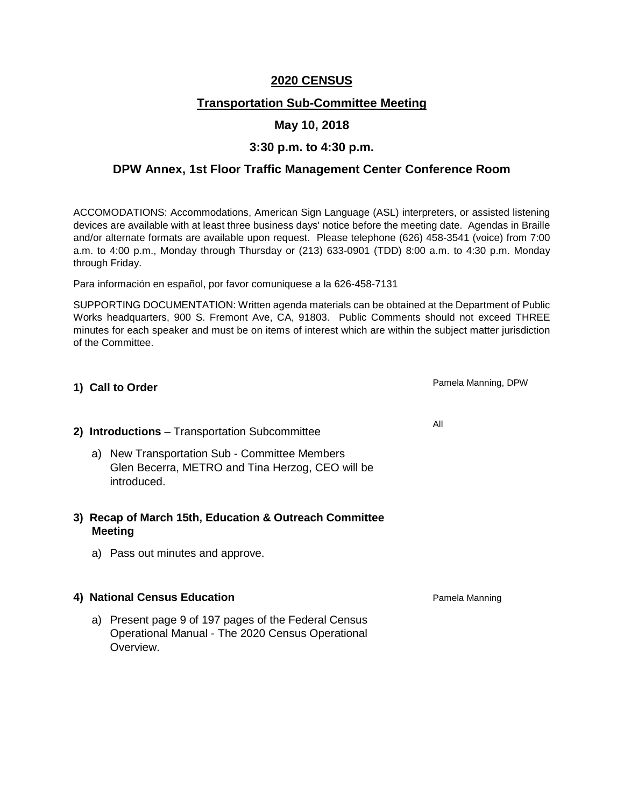### **2020 CENSUS**

# **Transportation Sub-Committee Meeting**

### **May 10, 2018**

## **3:30 p.m. to 4:30 p.m.**

## **DPW Annex, 1st Floor Traffic Management Center Conference Room**

ACCOMODATIONS: Accommodations, American Sign Language (ASL) interpreters, or assisted listening devices are available with at least three business days' notice before the meeting date. Agendas in Braille and/or alternate formats are available upon request. Please telephone (626) 458-3541 (voice) from 7:00 a.m. to 4:00 p.m., Monday through Thursday or (213) 633-0901 (TDD) 8:00 a.m. to 4:30 p.m. Monday through Friday.

Para información en español, por favor comuniquese a la 626-458-7131

SUPPORTING DOCUMENTATION: Written agenda materials can be obtained at the Department of Public Works headquarters, 900 S. Fremont Ave, CA, 91803. Public Comments should not exceed THREE minutes for each speaker and must be on items of interest which are within the subject matter jurisdiction of the Committee.

### **1) Call to Order**

### **2) Introductions** – Transportation Subcommittee

a) New Transportation Sub - Committee Members Glen Becerra, METRO and Tina Herzog, CEO will be introduced.

### **3) Recap of March 15th, Education & Outreach Committee Meeting**

a) Pass out minutes and approve.

### **4) National Census Education**

a) Present page 9 of 197 pages of the Federal Census Operational Manual - The 2020 Census Operational Overview.

All

Pamela Manning, DPW

Pamela Manning